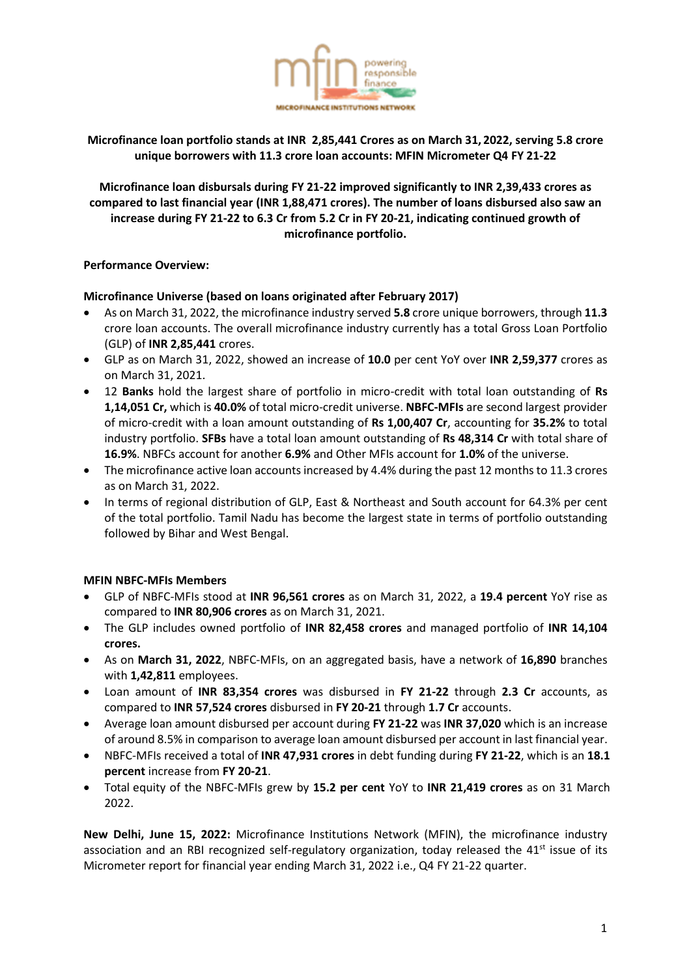

# **Microfinance loan portfolio stands at INR 2,85,441 Crores as on March 31, 2022, serving 5.8 crore unique borrowers with 11.3 crore loan accounts: MFIN Micrometer Q4 FY 21-22**

**Microfinance loan disbursals during FY 21-22 improved significantly to INR 2,39,433 crores as compared to last financial year (INR 1,88,471 crores). The number of loans disbursed also saw an increase during FY 21-22 to 6.3 Cr from 5.2 Cr in FY 20-21, indicating continued growth of microfinance portfolio.**

## **Performance Overview:**

#### **Microfinance Universe (based on loans originated after February 2017)**

- As on March 31, 2022, the microfinance industry served **5.8** crore unique borrowers, through **11.3** crore loan accounts. The overall microfinance industry currently has a total Gross Loan Portfolio (GLP) of **INR 2,85,441** crores.
- GLP as on March 31, 2022, showed an increase of **10.0** per cent YoY over **INR 2,59,377** crores as on March 31, 2021.
- 12 **Banks** hold the largest share of portfolio in micro-credit with total loan outstanding of **Rs 1,14,051 Cr,** which is **40.0%** of total micro-credit universe. **NBFC-MFIs** are second largest provider of micro-credit with a loan amount outstanding of **Rs 1,00,407 Cr**, accounting for **35.2%** to total industry portfolio. **SFBs** have a total loan amount outstanding of **Rs 48,314 Cr** with total share of **16.9%**. NBFCs account for another **6.9%** and Other MFIs account for **1.0%** of the universe.
- The microfinance active loan accounts increased by 4.4% during the past 12 months to 11.3 crores as on March 31, 2022.
- In terms of regional distribution of GLP, East & Northeast and South account for 64.3% per cent of the total portfolio. Tamil Nadu has become the largest state in terms of portfolio outstanding followed by Bihar and West Bengal.

## **MFIN NBFC-MFIs Members**

- GLP of NBFC-MFIs stood at **INR 96,561 crores** as on March 31, 2022, a **19.4 percent** YoY rise as compared to **INR 80,906 crores** as on March 31, 2021.
- The GLP includes owned portfolio of **INR 82,458 crores** and managed portfolio of **INR 14,104 crores.**
- As on **March 31, 2022**, NBFC-MFIs, on an aggregated basis, have a network of **16,890** branches with **1,42,811** employees.
- Loan amount of **INR 83,354 crores** was disbursed in **FY 21-22** through **2.3 Cr** accounts, as compared to **INR 57,524 crores** disbursed in **FY 20-21** through **1.7 Cr** accounts.
- Average loan amount disbursed per account during **FY 21-22** was **INR 37,020** which is an increase of around 8.5% in comparison to average loan amount disbursed per account in last financial year.
- NBFC-MFIs received a total of **INR 47,931 crores** in debt funding during **FY 21-22**, which is an **18.1 percent** increase from **FY 20-21**.
- Total equity of the NBFC-MFIs grew by **15.2 per cent** YoY to **INR 21,419 crores** as on 31 March 2022.

**New Delhi, June 15, 2022:** Microfinance Institutions Network (MFIN), the microfinance industry association and an RBI recognized self-regulatory organization, today released the 41<sup>st</sup> issue of its Micrometer report for financial year ending March 31, 2022 i.e., Q4 FY 21-22 quarter.